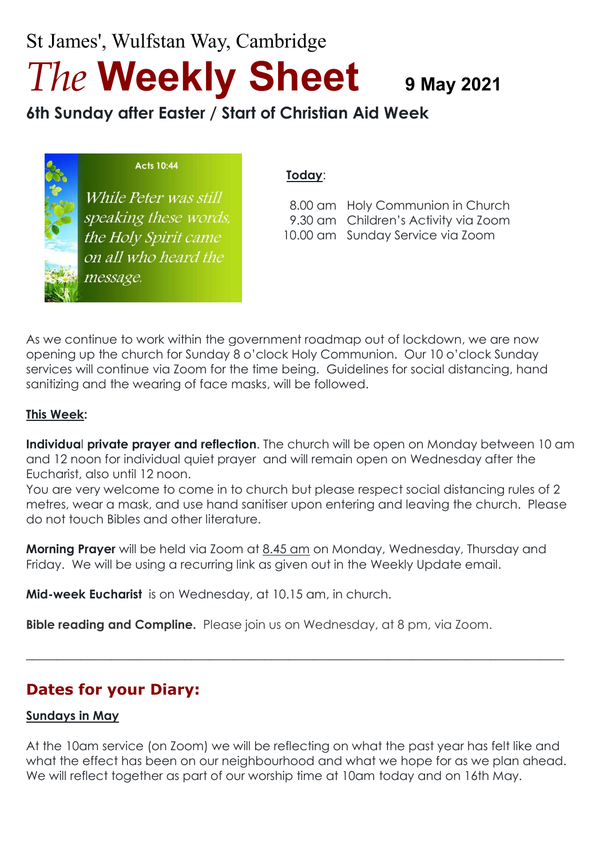St James', Wulfstan Way, Cambridge *The* **Weekly Sheet <sup>9</sup> May <sup>2021</sup>**

**6th Sunday after Easter / Start of Christian Aid Week**

|  | <b>Acts 10:44</b> |  |
|--|-------------------|--|
|  |                   |  |

While Peter was still speaking these words, the Holy Spirit came on all who heard the message.

#### **Today**:

 8.00 am Holy Communion in Church 9.30 am Children's Activity via Zoom 10.00 am Sunday Service via Zoom

As we continue to work within the government roadmap out of lockdown, we are now opening up the church for Sunday 8 o'clock Holy Communion. Our 10 o'clock Sunday services will continue via Zoom for the time being. Guidelines for social distancing, hand sanitizing and the wearing of face masks, will be followed.

#### **This Week:**

**Individua**l **private prayer and reflection**. The church will be open on Monday between 10 am and 12 noon for individual quiet prayer and will remain open on Wednesday after the Eucharist, also until 12 noon.

You are very welcome to come in to church but please respect social distancing rules of 2 metres, wear a mask, and use hand sanitiser upon entering and leaving the church. Please do not touch Bibles and other literature.

**Morning Prayer** will be held via Zoom at 8.45 am on Monday, Wednesday, Thursday and Friday. We will be using a recurring link as given out in the Weekly Update email.

**Mid-week Eucharist** is on Wednesday, at 10.15 am, in church.

**Bible reading and Compline.** Please join us on Wednesday, at 8 pm, via Zoom.

# **Dates for your Diary:**

#### **Sundays in May**

At the 10am service (on Zoom) we will be reflecting on what the past year has felt like and what the effect has been on our neighbourhood and what we hope for as we plan ahead. We will reflect together as part of our worship time at 10am today and on 16th May.

 $\_$  , and the set of the set of the set of the set of the set of the set of the set of the set of the set of the set of the set of the set of the set of the set of the set of the set of the set of the set of the set of th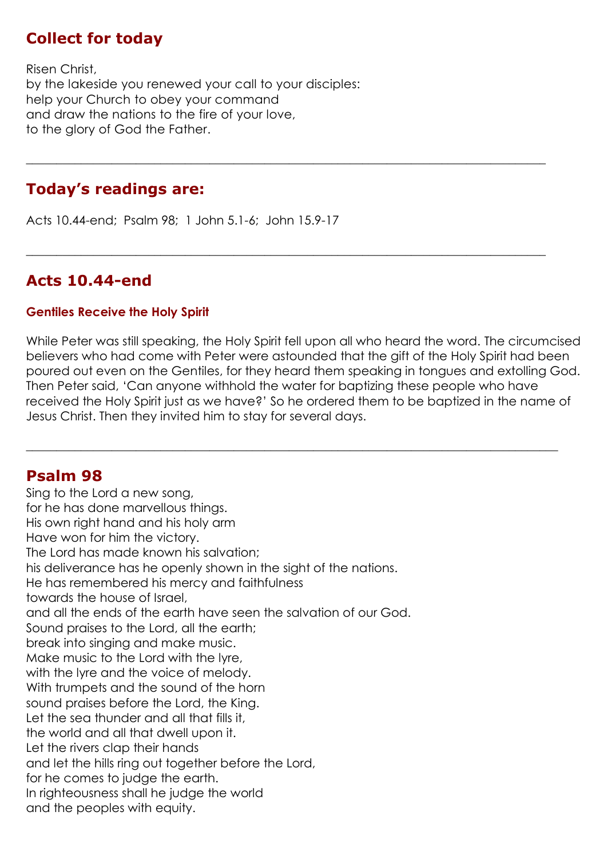### **Collect for today**

Risen Christ, by the lakeside you renewed your call to your disciples: help your Church to obey your command and draw the nations to the fire of your love, to the glory of God the Father.

### **Today's readings are:**

Acts 10.44-end; Psalm 98; 1 John 5.1-6; John 15.9-17

# **Acts 10.44-end**

#### **Gentiles Receive the Holy Spirit**

While Peter was still speaking, the Holy Spirit fell upon all who heard the word. The circumcised believers who had come with Peter were astounded that the gift of the Holy Spirit had been poured out even on the Gentiles, for they heard them speaking in tongues and extolling God. Then Peter said, 'Can anyone withhold the water for baptizing these people who have received the Holy Spirit just as we have?' So he ordered them to be baptized in the name of Jesus Christ. Then they invited him to stay for several days.

 $\_$  , and the set of the set of the set of the set of the set of the set of the set of the set of the set of the set of the set of the set of the set of the set of the set of the set of the set of the set of the set of th

**\_\_\_\_\_\_\_\_\_\_\_\_\_\_\_\_\_\_\_\_\_\_\_\_\_\_\_\_\_\_\_\_\_\_\_\_\_\_\_\_\_\_\_\_\_\_\_\_\_\_\_\_\_\_\_\_\_\_\_\_\_\_\_\_\_\_\_\_\_\_\_\_\_\_\_\_\_\_\_\_\_\_\_\_\_**

 $\_$  , and the set of the set of the set of the set of the set of the set of the set of the set of the set of the set of the set of the set of the set of the set of the set of the set of the set of the set of the set of th

### **Psalm 98**

Sing to the Lord a new song, for he has done marvellous things. His own right hand and his holy arm Have won for him the victory. The Lord has made known his salvation; his deliverance has he openly shown in the sight of the nations. He has remembered his mercy and faithfulness towards the house of Israel, and all the ends of the earth have seen the salvation of our God. Sound praises to the Lord, all the earth; break into singing and make music. Make music to the Lord with the lyre, with the lyre and the voice of melody. With trumpets and the sound of the horn sound praises before the Lord, the King. Let the sea thunder and all that fills it, the world and all that dwell upon it. Let the rivers clap their hands and let the hills ring out together before the Lord, for he comes to judge the earth. In righteousness shall he judge the world and the peoples with equity.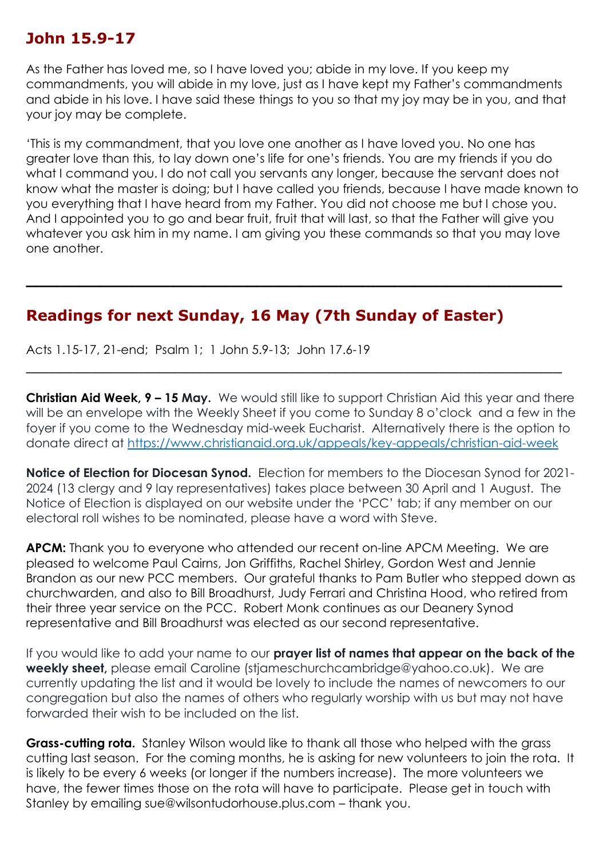### **John 15.9-17**

As the Father has loved me, so I have loved you; abide in my love. If you keep my commandments, you will abide in my love, just as I have kept my Father's commandments and abide in his love. I have said these things to you so that my joy may be in you, and that your joy may be complete.

'This is my commandment, that you love one another as I have loved you. No one has greater love than this, to lay down one's life for one's friends. You are my friends if you do what I command you. I do not call you servants any longer, because the servant does not know what the master is doing; but I have called you friends, because I have made known to you everything that I have heard from my Father. You did not choose me but I chose you. And I appointed you to go and bear fruit, fruit that will last, so that the Father will give you whatever you ask him in my name. I am giving you these commands so that you may love one another.

**\_\_\_\_\_\_\_\_\_\_\_\_\_\_\_\_\_\_\_\_\_\_\_\_\_\_\_\_\_\_\_\_\_\_\_\_\_\_\_\_\_\_\_\_\_\_\_\_\_\_\_**

\_\_\_\_\_\_\_\_\_\_\_\_\_\_\_\_\_\_\_\_\_\_\_\_\_\_\_\_\_\_\_\_\_\_\_\_\_\_\_\_\_\_\_\_\_\_\_\_\_\_\_\_\_\_\_\_\_

## **Readings for next Sunday, 16 May (7th Sunday of Easter)**

Acts 1.15-17, 21-end; Psalm 1; 1 John 5.9-13; John 17.6-19

**Christian Aid Week, 9 – 15 May.** We would still like to support Christian Aid this year and there will be an envelope with the Weekly Sheet if you come to Sunday 8 o'clock and a few in the foyer if you come to the Wednesday mid-week Eucharist. Alternatively there is the option to donate direct at<https://www.christianaid.org.uk/appeals/key-appeals/christian-aid-week>

**Notice of Election for Diocesan Synod.** Election for members to the Diocesan Synod for 2021- 2024 (13 clergy and 9 lay representatives) takes place between 30 April and 1 August. The Notice of Election is displayed on our website under the 'PCC' tab; if any member on our electoral roll wishes to be nominated, please have a word with Steve.

**APCM:** Thank you to everyone who attended our recent on-line APCM Meeting. We are pleased to welcome Paul Cairns, Jon Griffiths, Rachel Shirley, Gordon West and Jennie Brandon as our new PCC members. Our grateful thanks to Pam Butler who stepped down as churchwarden, and also to Bill Broadhurst, Judy Ferrari and Christina Hood, who retired from their three year service on the PCC. Robert Monk continues as our Deanery Synod representative and Bill Broadhurst was elected as our second representative.

If you would like to add your name to our **prayer list of names that appear on the back of the weekly sheet,** please email Caroline (stjameschurchcambridge@yahoo.co.uk). We are currently updating the list and it would be lovely to include the names of newcomers to our congregation but also the names of others who regularly worship with us but may not have forwarded their wish to be included on the list.

**Grass-cutting rota.** Stanley Wilson would like to thank all those who helped with the grass cutting last season. For the coming months, he is asking for new volunteers to join the rota. It is likely to be every 6 weeks (or longer if the numbers increase). The more volunteers we have, the fewer times those on the rota will have to participate. Please get in touch with Stanley by emailing sue@wilsontudorhouse.plus.com – thank you.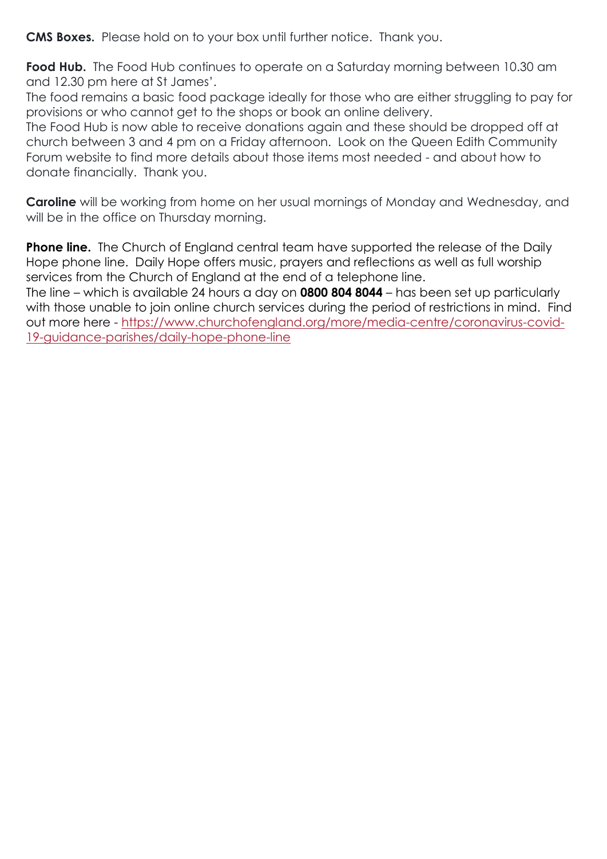**CMS Boxes.** Please hold on to your box until further notice. Thank you.

**Food Hub.** The Food Hub continues to operate on a Saturday morning between 10.30 am and 12.30 pm here at St James'.

The food remains a basic food package ideally for those who are either struggling to pay for provisions or who cannot get to the shops or book an online delivery.

The Food Hub is now able to receive donations again and these should be dropped off at church between 3 and 4 pm on a Friday afternoon. Look on the Queen Edith Community Forum website to find more details about those items most needed - and about how to donate financially. Thank you.

**Caroline** will be working from home on her usual mornings of Monday and Wednesday, and will be in the office on Thursday morning.

**Phone line.** The Church of England central team have supported the release of the Daily Hope phone line. Daily Hope offers music, prayers and reflections as well as full worship services from the Church of England at the end of a telephone line.

The line – which is available 24 hours a day on **0800 804 8044** – has been set up particularly with those unable to join online church services during the period of restrictions in mind. Find out more here - [https://www.churchofengland.org/more/media-centre/coronavirus-covid-](https://www.churchofengland.org/more/media-centre/coronavirus-covid-19-guidance-parishes/daily-hope-phone-line)[19-guidance-parishes/daily-hope-phone-line](https://www.churchofengland.org/more/media-centre/coronavirus-covid-19-guidance-parishes/daily-hope-phone-line)